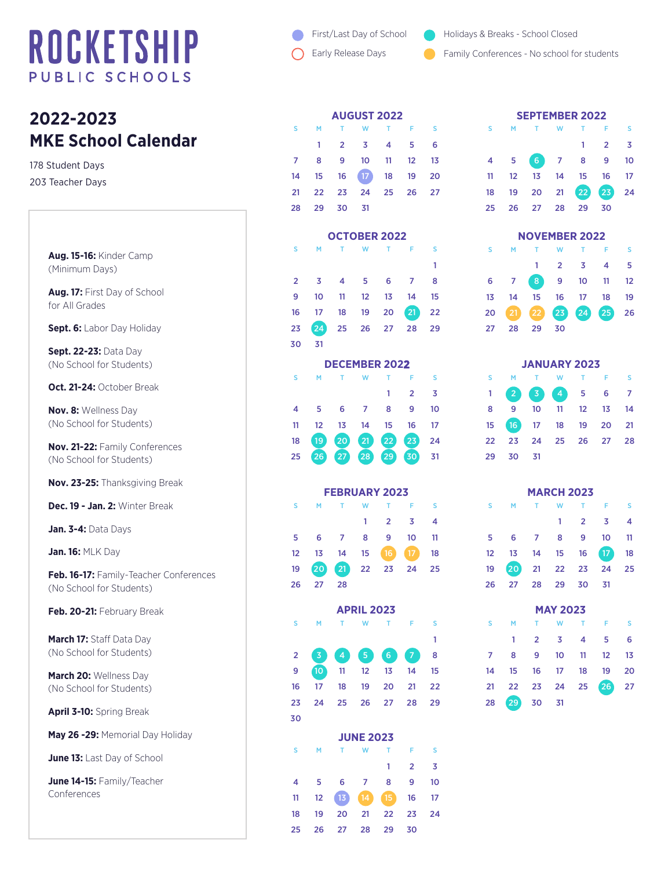## ROCKETSHIP PUBLIC SCHOOLS

## **2022-2023 MKE School Calendar**

178 Student Days 203 Teacher Days

> **Aug. 15-16:** Kinder Camp (Minimum Days)

**Aug. 17:** First Day of School for All Grades

**Sept. 6:** Labor Day Holiday

**Sept. 22-23:** Data Day (No School for Students)

**Oct. 21-24:** October Break

**Nov. 8:** Wellness Day (No School for Students)

**Nov. 21-22:** Family Conferences (No School for Students)

**Nov. 23-25:** Thanksgiving Break

**Dec. 19 - Jan. 2:** Winter Break

**Jan. 3-4:** Data Days

**Jan. 16:** MLK Day

**Feb. 16-17:** Family-Teacher Conferences (No School for Students)

**Feb. 20-21:** February Break

**March 17:** Staff Data Day (No School for Students)

**March 20:** Wellness Day (No School for Students)

**April 3-10:** Spring Break

**May 26 -29:** Memorial Day Holiday

**June 13:** Last Day of School

**June 14-15:** Family/Teacher Conferences

- First/Last Day of School
- Early Release Days
- Holidays & Breaks School Closed
- Family Conferences No school for students

| <b>AUGUST 2022</b> |             |                |                                  |  |     |   |  |  |  |  |  |
|--------------------|-------------|----------------|----------------------------------|--|-----|---|--|--|--|--|--|
| <b>S</b>           | M           |                | T W T F                          |  |     | s |  |  |  |  |  |
|                    | 1           | $\overline{2}$ | $3 \quad 4$                      |  | - 5 | 6 |  |  |  |  |  |
| $\overline{7}$     | 8           | - 9            | 10 11 12 13                      |  |     |   |  |  |  |  |  |
|                    |             |                | 14   15   16   17   18   19   20 |  |     |   |  |  |  |  |  |
|                    |             |                | 21  22  23  24  25  26  27       |  |     |   |  |  |  |  |  |
|                    | 28 29 30 31 |                |                                  |  |     |   |  |  |  |  |  |
|                    |             |                |                                  |  |     |   |  |  |  |  |  |

|                      | <b>OCTOBER 2022</b> |                         |                      |                |                 |    |  |  |  |  |  |  |
|----------------------|---------------------|-------------------------|----------------------|----------------|-----------------|----|--|--|--|--|--|--|
| S                    | M                   | т                       | W                    | т              | Ë               | S  |  |  |  |  |  |  |
|                      |                     |                         |                      |                |                 | 1  |  |  |  |  |  |  |
| $\overline{2}$       | 3                   | $\overline{4}$          | 5                    | 6              | 7               | 8  |  |  |  |  |  |  |
| $\boldsymbol{9}$     | 10                  | 11                      | 12                   | 13             | 14              | 15 |  |  |  |  |  |  |
| 16                   | 17                  | 18                      | 19                   | 20             | 21              | 22 |  |  |  |  |  |  |
| 23                   | 24                  | 25                      | 26                   | 27             | 28              | 29 |  |  |  |  |  |  |
| 30                   | 31                  |                         |                      |                |                 |    |  |  |  |  |  |  |
|                      |                     |                         | <b>DECEMBER 2022</b> |                |                 |    |  |  |  |  |  |  |
| S                    | M                   | т                       | W                    | T              | F               | S  |  |  |  |  |  |  |
|                      |                     |                         |                      | 1              | 2               | 3  |  |  |  |  |  |  |
| 4                    | 5                   | 6                       | 7                    | 8              | 9               | 10 |  |  |  |  |  |  |
| 11                   | 12                  | 13                      | 14                   | 15             | 16              | 17 |  |  |  |  |  |  |
| 18                   | 19                  | $\left 20\right\rangle$ | $\boxed{21}$         | 22             | 23              | 24 |  |  |  |  |  |  |
| 25                   | 26                  | $\left[27\right]$       | $\left[28\right]$    | 29             | $\sqrt{30}$     | 31 |  |  |  |  |  |  |
|                      |                     |                         |                      |                |                 |    |  |  |  |  |  |  |
| <b>FEBRUARY 2023</b> |                     |                         |                      |                |                 |    |  |  |  |  |  |  |
| S                    | M                   | т                       | W                    | T              | F               | S  |  |  |  |  |  |  |
|                      |                     |                         | 1                    | $\overline{2}$ | 3               | 4  |  |  |  |  |  |  |
| 5                    | 6                   | 7                       | 8                    | 9              | 10              | 11 |  |  |  |  |  |  |
| 12                   | 13                  | 14                      | 15                   | (16)           | 17 <sub>2</sub> | 18 |  |  |  |  |  |  |
| 19                   | 20                  | 21                      | 22                   | 23             | 24              | 25 |  |  |  |  |  |  |
| 26                   | 27                  | 28                      |                      |                |                 |    |  |  |  |  |  |  |
|                      |                     |                         | <b>APRIL 2023</b>    |                |                 |    |  |  |  |  |  |  |
| S                    | M                   | T                       | W                    | T              | F               | S  |  |  |  |  |  |  |
|                      |                     |                         |                      |                |                 | 1  |  |  |  |  |  |  |
| $\overline{2}$       | $\overline{3}$      | $\overline{4}$          | $\overline{5}$       | 6              | 7               | 8  |  |  |  |  |  |  |
| 9                    | 10 <sup>1</sup>     | 11                      | 12                   | 13             | 14              | 15 |  |  |  |  |  |  |
| 16                   | 17                  | 18                      | 19                   | 20             | 21              | 22 |  |  |  |  |  |  |
| 23                   | 24                  | 25                      | 26                   | 27             | 28              | 29 |  |  |  |  |  |  |
| 30                   |                     |                         |                      |                |                 |    |  |  |  |  |  |  |
|                      |                     |                         | <b>JUNE 2023</b>     |                |                 |    |  |  |  |  |  |  |
| S                    | M                   | т                       | W                    | T              | F               | S  |  |  |  |  |  |  |
|                      |                     |                         |                      | 1              | $\overline{2}$  | 3  |  |  |  |  |  |  |
| 4                    | 5                   | 6                       | 7                    | 8              | 9               | 10 |  |  |  |  |  |  |

11 12 13 14 15 16 17 18 19 20 21 22 23 24 25 26 27 28 29 30

| <b>SEPTEMBER 2022</b> |  |                      |  |  |                     |  |  |  |  |  |  |  |
|-----------------------|--|----------------------|--|--|---------------------|--|--|--|--|--|--|--|
|                       |  | S M T W T F S        |  |  |                     |  |  |  |  |  |  |  |
|                       |  |                      |  |  | $1 \quad 2 \quad 3$ |  |  |  |  |  |  |  |
|                       |  | 4 5 6 7 8 9 10       |  |  |                     |  |  |  |  |  |  |  |
|                       |  | 11 12 13 14 15 16 17 |  |  |                     |  |  |  |  |  |  |  |
|                       |  | 18 19 20 21 22 23 24 |  |  |                     |  |  |  |  |  |  |  |
|                       |  | 25  26  27  28  29   |  |  | - 30                |  |  |  |  |  |  |  |
|                       |  |                      |  |  |                     |  |  |  |  |  |  |  |

| <b>NOVEMBER 2022</b> |    |    |                         |                         |                   |    |  |  |  |  |  |
|----------------------|----|----|-------------------------|-------------------------|-------------------|----|--|--|--|--|--|
| s                    | М  | T. | W                       | $\mathbf{T}$            | - F               | -S |  |  |  |  |  |
|                      |    |    | $\overline{\mathbf{2}}$ | $\overline{\mathbf{3}}$ | $\overline{4}$    | -5 |  |  |  |  |  |
| 6                    |    | 8  |                         | $9 \t10$                | $-11$             | 12 |  |  |  |  |  |
| 13                   | 14 |    |                         | 15 16 17                | 18                | 19 |  |  |  |  |  |
| 20                   |    |    |                         |                         | 21 22 23 24 25 26 |    |  |  |  |  |  |
| 27                   | 28 | 29 | 30                      |                         |                   |    |  |  |  |  |  |

| <b>JANUARY 2023</b> |                                        |  |  |  |  |     |  |  |  |  |  |  |
|---------------------|----------------------------------------|--|--|--|--|-----|--|--|--|--|--|--|
|                     | S M T W T F                            |  |  |  |  | - S |  |  |  |  |  |  |
|                     | $1$ $2$ $3$ $4$ $5$ $6$ $7$            |  |  |  |  |     |  |  |  |  |  |  |
|                     | 8 9 10 11 12 13 14                     |  |  |  |  |     |  |  |  |  |  |  |
|                     | 15    16    17    18    19    20    21 |  |  |  |  |     |  |  |  |  |  |  |
|                     | 22 23 24 25 26 27 28                   |  |  |  |  |     |  |  |  |  |  |  |
|                     | 29 30 31                               |  |  |  |  |     |  |  |  |  |  |  |

|                | <b>MARCH 2023</b> |                |                 |                |                 |    |  |  |  |  |  |  |
|----------------|-------------------|----------------|-----------------|----------------|-----------------|----|--|--|--|--|--|--|
| S              | м                 | T              | W               | T              | F               | S  |  |  |  |  |  |  |
|                |                   |                | 1               | $\overline{2}$ | 3               | 4  |  |  |  |  |  |  |
| 5              | 6                 | $\overline{7}$ | 8               | 9              | 10              | 11 |  |  |  |  |  |  |
| 12             | 13                | 14             | 15              | 16             | 17 <sup>°</sup> | 18 |  |  |  |  |  |  |
| 19             | (20)              | 21             | 22              | 23             | 24              | 25 |  |  |  |  |  |  |
| 26             | 27                | 28             | 29              | 30             | 31              |    |  |  |  |  |  |  |
|                |                   |                | <b>MAY 2023</b> |                |                 |    |  |  |  |  |  |  |
| S              | M                 | т              | W               | т              | F               | S  |  |  |  |  |  |  |
|                | 1                 | $\overline{2}$ | 3               | 4              | 5               | 6  |  |  |  |  |  |  |
| $\overline{7}$ | 8                 | 9              | 10              | 11             | 12              | 13 |  |  |  |  |  |  |
| 14             | 15                | 16             | 17 <sub>2</sub> | 18             | 19              | 20 |  |  |  |  |  |  |
| 21             | 22                | 23             | 24              | 25             | 26              | 27 |  |  |  |  |  |  |
| 28             | 29                | 30             | 31              |                |                 |    |  |  |  |  |  |  |